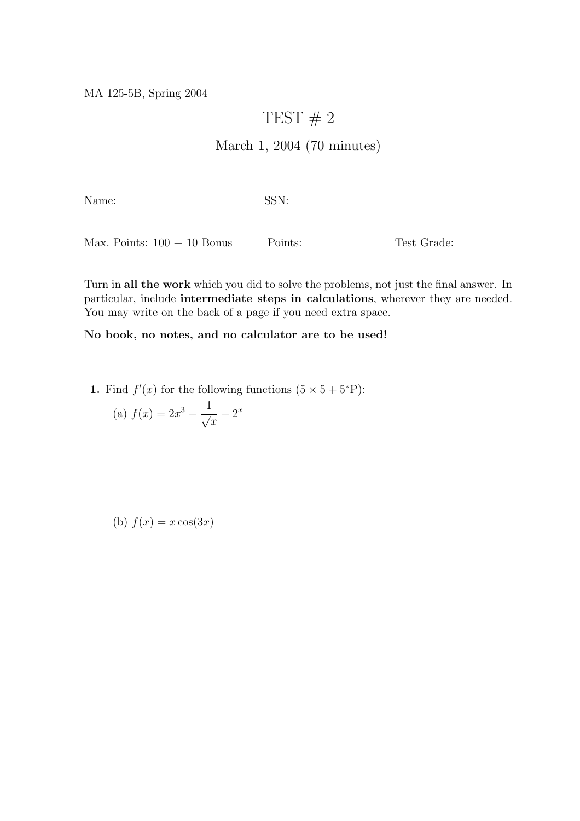MA 125-5B, Spring 2004

## TEST  $# 2$

## March 1, 2004 (70 minutes)

Name: SSN:

Max. Points:  $100 + 10$  Bonus Points: Test Grade:

Turn in all the work which you did to solve the problems, not just the final answer. In particular, include intermediate steps in calculations, wherever they are needed. You may write on the back of a page if you need extra space.

## No book, no notes, and no calculator are to be used!

1. Find  $f'(x)$  for the following functions  $(5 \times 5 + 5^*P)$ :

(a) 
$$
f(x) = 2x^3 - \frac{1}{\sqrt{x}} + 2^x
$$

(b)  $f(x) = x \cos(3x)$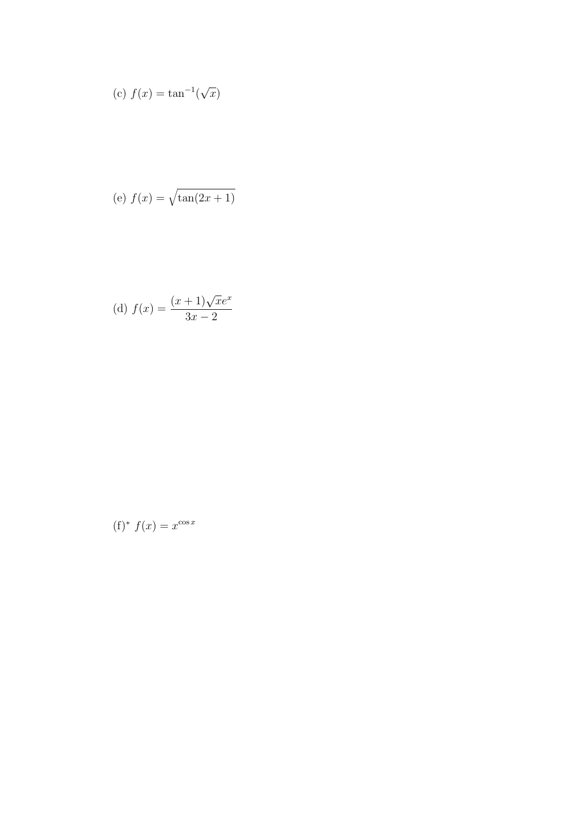(c) 
$$
f(x) = \tan^{-1}(\sqrt{x})
$$

$$
(e) f(x) = \sqrt{\tan(2x+1)}
$$

(d) 
$$
f(x) = \frac{(x+1)\sqrt{x}e^x}{3x-2}
$$

$$
(\mathbf{f})^* f(x) = x^{\cos x}
$$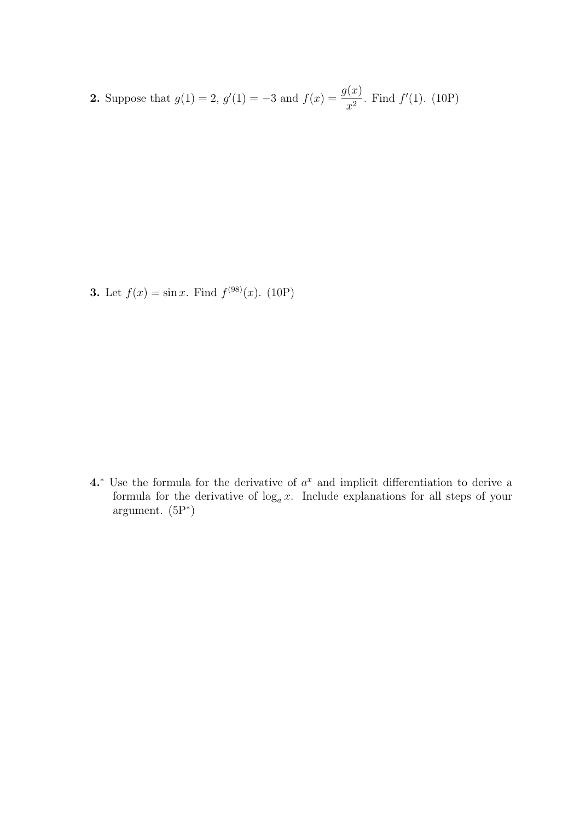**2.** Suppose that  $g(1) = 2$ ,  $g'(1) = -3$  and  $f(x) = \frac{g(x)}{2}$  $\frac{d^{(x)}}{x^2}$ . Find  $f'(1)$ . (10P)

**3.** Let  $f(x) = \sin x$ . Find  $f^{(98)}(x)$ . (10P)

4.<sup>∗</sup> Use the formula for the derivative of  $a^x$  and implicit differentiation to derive a formula for the derivative of  $\log_a x$ . Include explanations for all steps of your argument. (5P<sup>∗</sup> )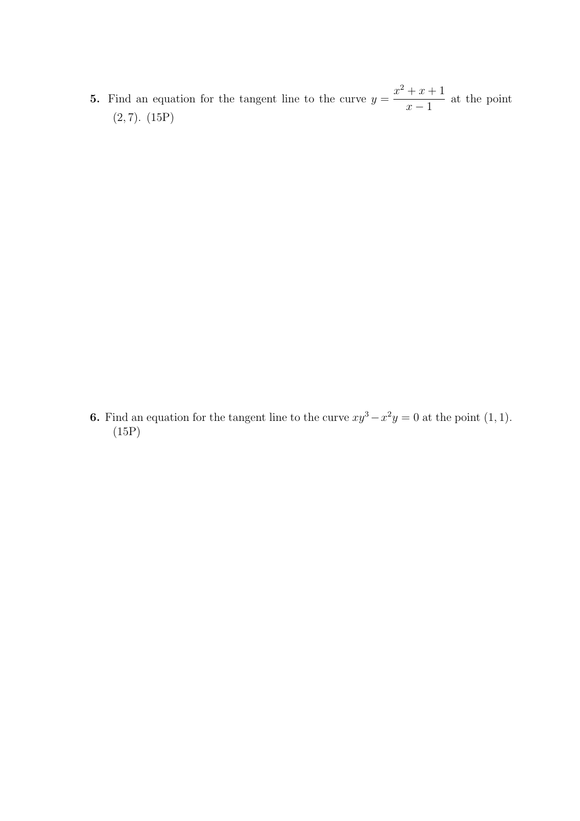5. Find an equation for the tangent line to the curve  $y =$  $x^2 + x + 1$  $x - 1$ at the point  $(2, 7)$ .  $(15P)$ 

**6.** Find an equation for the tangent line to the curve  $xy^3 - x^2y = 0$  at the point (1, 1). (15P)